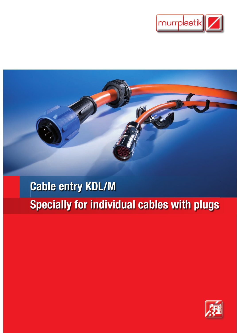



# Cable entry KDL/M Specially for individual cables with plugs

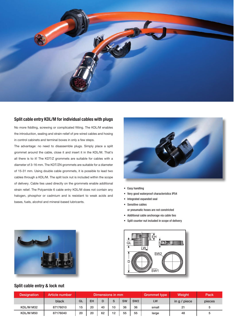

## Split cable entry KDL/M for individual cables with plugs

No more fiddling, screwing or complicated fitting. The KDL/M enables the introduction, sealing and strain-relief of pre-wired cables and hosing in control cabinets and terminal boxes in only a few steps.

The advantage: no need to disassemble plugs. Simply place a split grommet around the cable, close it and insert it in the KDL/M. That's all there is to it! The KDT/Z grommets are suitable for cables with a diameter of 3-16 mm. The KDT/ZN grommets are suitable for a diameter of 15-31 mm. Using double cable grommets, it is possible to lead two cables through a KDL/M. The split lock nut is included within the scope of delivery. Cable ties used directly on the grommets enable additional strain relief. The Polyamide 6 cable entry KDL/M does not contain any halogen, phosphor or cadmium and is resistant to weak acids and bases, fuels, alcohol and mineral-based lubricants.



- Easy handling
- Very good waterproof characteristics IP54
- Integrated expanded seal • Sensitive cables
- or pneumatic hoses are not constricted
- Additional cable anchorage via cable ties
- Split counter nut included in scope of delivery



## Split cable entry & lock nut



| <b>Designation</b> | Article number | Dimensions in mm. |    |    |    |           | <b>Grommet type</b> | Weight | Pack         |        |
|--------------------|----------------|-------------------|----|----|----|-----------|---------------------|--------|--------------|--------|
|                    | black          | GL                | EH |    | S  | <b>SW</b> | SW <sub>2</sub>     | LW     | in g / piece | pieces |
| KDL/M M32          | 87176010       | 15                | 20 | 40 | 10 | 36        | 36                  | small  | 21           | 5      |
| KDL/M M50          | 87176040       | 20                | 20 | 62 | 12 | 55        | 55                  | large  | 48           | 5      |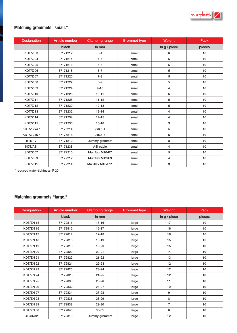

# Matching grommets "small."

| <b>Designation</b> | <b>Article number</b> | <b>Clamping range</b> | <b>Grommet type</b> | Weight         | Pack             |
|--------------------|-----------------------|-----------------------|---------------------|----------------|------------------|
|                    | black                 | in mm                 |                     | in g / piece   | pieces           |
| <b>KDT/Z03</b>     | 87171212              | $3 - 4$               | small               | 6              | 10 <sup>10</sup> |
| <b>KDT/Z04</b>     | 87171214              | $4 - 5$               | small               | 5              | 10               |
| <b>KDT/Z05</b>     | 87171216              | $5-6$                 | small               | 5              | 10               |
| <b>KDT/Z06</b>     | 87171218              | $6 - 7$               | small               | 5              | 10               |
| <b>KDT/Z07</b>     | 87171220              | $7 - 8$               | small               | 5              | 10               |
| <b>KDT/Z08</b>     | 87171222              | $8 - 9$               | small               | 5              | 10               |
| <b>KDT/Z09</b>     | 87171224              | $9 - 10$              | small               | 4              | 10               |
| <b>KDT/Z10</b>     | 87171226              | $10 - 11$             | small               | 6              | 10               |
| <b>KDT/Z11</b>     | 87171228              | $11 - 12$             | small               | 5              | 10               |
| <b>KDT/Z12</b>     | 87171230              | $12 - 13$             | small               | 5              | 10               |
| <b>KDT/Z13</b>     | 87171232              | $13 - 14$             | small               | 4              | 10               |
| <b>KDT/Z14</b>     | 87171234              | $14 - 15$             | small               | 4              | 10 <sup>10</sup> |
| <b>KDT/Z15</b>     | 87171236              | $15 - 16$             | small               | 3              | 10               |
| KDT/Z 2x4 *        | 87175214              | $2x3,5-4$             | small               | 5              | 10               |
| KDT/Z 2x6 *        | 87175218              | $2x5,5-6$             | small               | 5              | 10 <sup>10</sup> |
| <b>BTK 17</b>      | 87171210              | Dummy grommet         | small               | 8              | 10               |
| <b>KDT/ASI</b>     | 87171238              | ASI cable             | small               | $\overline{4}$ | 10               |
| <b>SDT/Z07</b>     | 87172210              | Murrflex M10/P7       | small               | 5              | 10               |
| <b>SDT/Z09</b>     | 87172212              | Murrflex M12/P9       | small               | 4              | 10               |
| <b>SDT/Z11</b>     | 87172214              | Murrflex M16/P11      | small               | 3              | 10               |

\* reduced water-tightness IP 20

## Matching grommets "large."

| <b>Designation</b> | <b>Article number</b> | <b>Clamping range</b> | <b>Grommet type</b> | Weight         | Pack   |
|--------------------|-----------------------|-----------------------|---------------------|----------------|--------|
|                    | black                 | in mm                 |                     | in g / piece   | pieces |
| KDT/ZN 15          | 87172811              | $15 - 16$             | large               | 17             | 10     |
| KDT/ZN 16          | 87172812              | $16 - 17$             | large               | 16             | 10     |
| KDT/ZN 17          | 87172814              | $17-18$               | large               | 16             | 10     |
| KDT/ZN 18          | 87172816              | 18-19                 | large               | 15             | 10     |
| KDT/ZN 19          | 87172818              | 19-20                 | large               | 15             | 10     |
| KDT/ZN 20          | 87172820              | $20 - 21$             | large               | 14             | 10     |
| KDT/ZN 21          | 87172822              | $21 - 22$             | large               | 13             | 10     |
| KDT/ZN 22          | 87172824              | $22 - 23$             | large               | 12             | 10     |
| KDT/ZN 23          | 87172826              | $23 - 24$             | large               | 12             | 10     |
| KDT/ZN 24          | 87172828              | $24 - 25$             | large               | 12             | 10     |
| KDT/ZN 25          | 87172830              | $25 - 26$             | large               | 11             | 10     |
| KDT/ZN 26          | 87172832              | $26 - 27$             | large               | 10             | 10     |
| KDT/ZN 27          | 87172834              | $27 - 28$             | large               | 9              | 10     |
| KDT/ZN 28          | 87172836              | $28 - 29$             | large               | 8              | 10     |
| KDT/ZN 29          | 87172838              | 29-30                 | large               | $\overline{7}$ | 10     |
| KDT/ZN 30          | 87172840              | $30 - 31$             | large               | 6              | 10     |
| BTG/N32            | 87172810              | Dummy grommet         | large               | 12             | 10     |